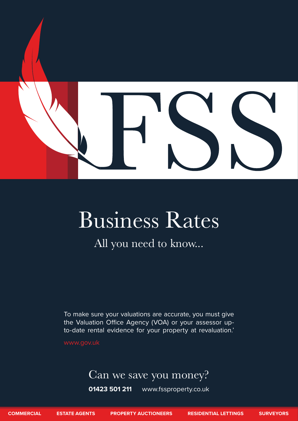

# Business Rates

## All you need to know...

To make sure your valuations are accurate, you must give the Valuation Office Agency (VOA) or your assessor upto-date rental evidence for your property at revaluation.'

www.gov.uk

### Can we save you money?

**01423 501 211** www.fssproperty.co.uk